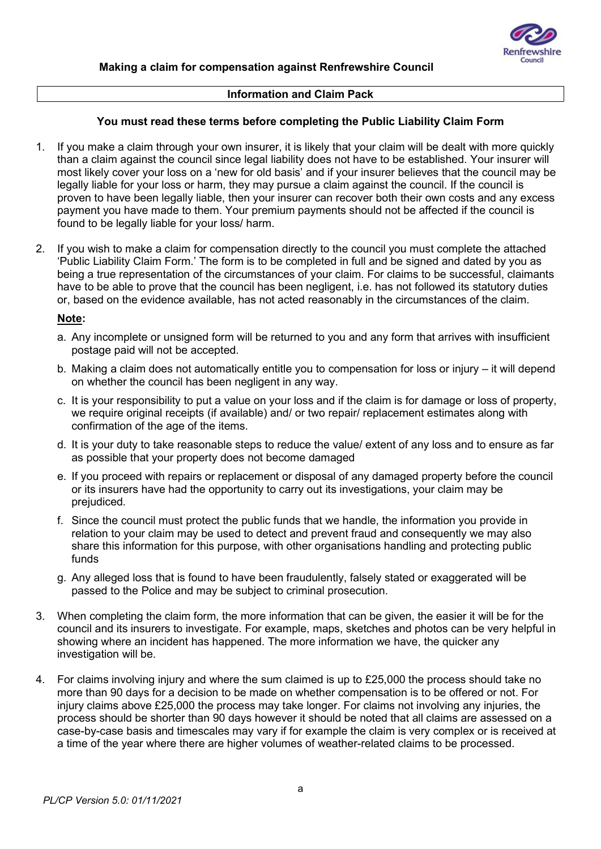

### Information and Claim Pack

### You must read these terms before completing the Public Liability Claim Form

- 1. If you make a claim through your own insurer, it is likely that your claim will be dealt with more quickly than a claim against the council since legal liability does not have to be established. Your insurer will most likely cover your loss on a 'new for old basis' and if your insurer believes that the council may be legally liable for your loss or harm, they may pursue a claim against the council. If the council is proven to have been legally liable, then your insurer can recover both their own costs and any excess payment you have made to them. Your premium payments should not be affected if the council is found to be legally liable for your loss/ harm.
- 2. If you wish to make a claim for compensation directly to the council you must complete the attached 'Public Liability Claim Form.' The form is to be completed in full and be signed and dated by you as being a true representation of the circumstances of your claim. For claims to be successful, claimants have to be able to prove that the council has been negligent, i.e. has not followed its statutory duties or, based on the evidence available, has not acted reasonably in the circumstances of the claim.

#### Note:

- a. Any incomplete or unsigned form will be returned to you and any form that arrives with insufficient postage paid will not be accepted.
- b. Making a claim does not automatically entitle you to compensation for loss or injury it will depend on whether the council has been negligent in any way.
- c. It is your responsibility to put a value on your loss and if the claim is for damage or loss of property, we require original receipts (if available) and/ or two repair/ replacement estimates along with confirmation of the age of the items.
- d. It is your duty to take reasonable steps to reduce the value/ extent of any loss and to ensure as far as possible that your property does not become damaged
- e. If you proceed with repairs or replacement or disposal of any damaged property before the council or its insurers have had the opportunity to carry out its investigations, your claim may be prejudiced.
- f. Since the council must protect the public funds that we handle, the information you provide in relation to your claim may be used to detect and prevent fraud and consequently we may also share this information for this purpose, with other organisations handling and protecting public funds
- g. Any alleged loss that is found to have been fraudulently, falsely stated or exaggerated will be passed to the Police and may be subject to criminal prosecution.
- 3. When completing the claim form, the more information that can be given, the easier it will be for the council and its insurers to investigate. For example, maps, sketches and photos can be very helpful in showing where an incident has happened. The more information we have, the quicker any investigation will be.
- 4. For claims involving injury and where the sum claimed is up to £25,000 the process should take no more than 90 days for a decision to be made on whether compensation is to be offered or not. For injury claims above £25,000 the process may take longer. For claims not involving any injuries, the process should be shorter than 90 days however it should be noted that all claims are assessed on a case-by-case basis and timescales may vary if for example the claim is very complex or is received at a time of the year where there are higher volumes of weather-related claims to be processed.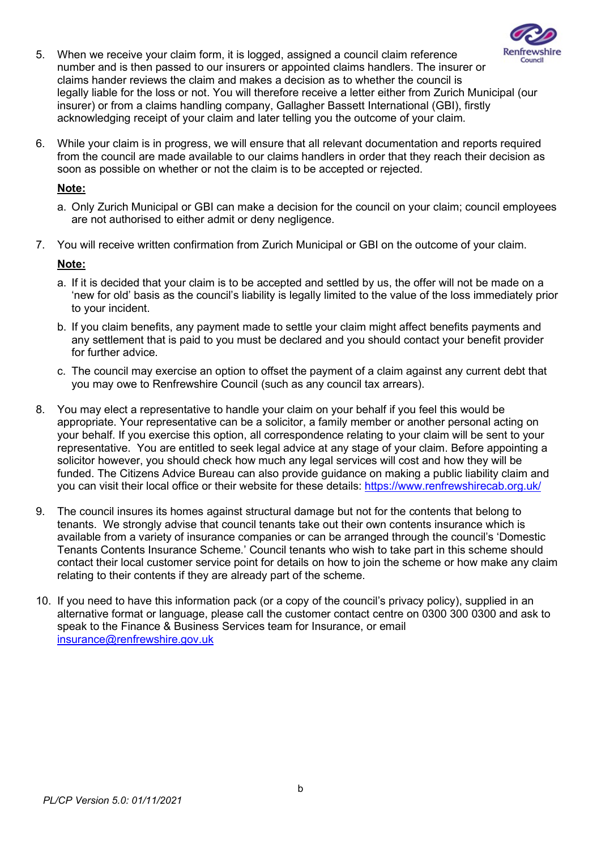

- 5. When we receive your claim form, it is logged, assigned a council claim reference number and is then passed to our insurers or appointed claims handlers. The insurer or claims hander reviews the claim and makes a decision as to whether the council is legally liable for the loss or not. You will therefore receive a letter either from Zurich Municipal (our insurer) or from a claims handling company, Gallagher Bassett International (GBI), firstly acknowledging receipt of your claim and later telling you the outcome of your claim.
- 6. While your claim is in progress, we will ensure that all relevant documentation and reports required from the council are made available to our claims handlers in order that they reach their decision as soon as possible on whether or not the claim is to be accepted or rejected.

### Note:

- a. Only Zurich Municipal or GBI can make a decision for the council on your claim; council employees are not authorised to either admit or deny negligence.
- 7. You will receive written confirmation from Zurich Municipal or GBI on the outcome of your claim.

### Note:

- a. If it is decided that your claim is to be accepted and settled by us, the offer will not be made on a 'new for old' basis as the council's liability is legally limited to the value of the loss immediately prior to your incident.
- b. If you claim benefits, any payment made to settle your claim might affect benefits payments and any settlement that is paid to you must be declared and you should contact your benefit provider for further advice.
- c. The council may exercise an option to offset the payment of a claim against any current debt that you may owe to Renfrewshire Council (such as any council tax arrears).
- 8. You may elect a representative to handle your claim on your behalf if you feel this would be appropriate. Your representative can be a solicitor, a family member or another personal acting on your behalf. If you exercise this option, all correspondence relating to your claim will be sent to your representative. You are entitled to seek legal advice at any stage of your claim. Before appointing a solicitor however, you should check how much any legal services will cost and how they will be funded. The Citizens Advice Bureau can also provide guidance on making a public liability claim and you can visit their local office or their website for these details: https://www.renfrewshirecab.org.uk/
- 9. The council insures its homes against structural damage but not for the contents that belong to tenants. We strongly advise that council tenants take out their own contents insurance which is available from a variety of insurance companies or can be arranged through the council's 'Domestic Tenants Contents Insurance Scheme.' Council tenants who wish to take part in this scheme should contact their local customer service point for details on how to join the scheme or how make any claim relating to their contents if they are already part of the scheme.
- 10. If you need to have this information pack (or a copy of the council's privacy policy), supplied in an alternative format or language, please call the customer contact centre on 0300 300 0300 and ask to speak to the Finance & Business Services team for Insurance, or email insurance@renfrewshire.gov.uk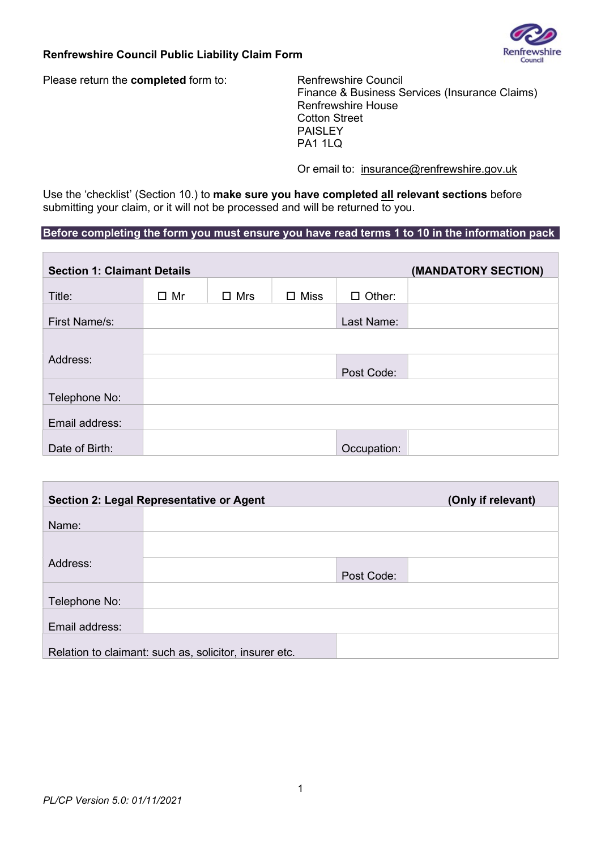

### Renfrewshire Council Public Liability Claim Form

Please return the **completed** form to: Renfrewshire Council

 Finance & Business Services (Insurance Claims) Renfrewshire House Cotton Street PAISLEY PA1 1LQ

Or email to: insurance@renfrewshire.gov.uk

Use the 'checklist' (Section 10.) to make sure you have completed all relevant sections before submitting your claim, or it will not be processed and will be returned to you.

# Before completing the form you must ensure you have read terms 1 to 10 in the information pack

| <b>Section 1: Claimant Details</b> |              |            |                |               | (MANDATORY SECTION) |
|------------------------------------|--------------|------------|----------------|---------------|---------------------|
| Title:                             | $\square$ Mr | $\Box$ Mrs | $\square$ Miss | $\Box$ Other: |                     |
| First Name/s:                      |              |            |                | Last Name:    |                     |
|                                    |              |            |                |               |                     |
| Address:                           |              |            |                | Post Code:    |                     |
|                                    |              |            |                |               |                     |
| Telephone No:                      |              |            |                |               |                     |
| Email address:                     |              |            |                |               |                     |
| Date of Birth:                     |              |            |                | Occupation:   |                     |

|                | Section 2: Legal Representative or Agent               | (Only if relevant) |
|----------------|--------------------------------------------------------|--------------------|
| Name:          |                                                        |                    |
|                |                                                        |                    |
| Address:       |                                                        |                    |
|                |                                                        | Post Code:         |
| Telephone No:  |                                                        |                    |
| Email address: |                                                        |                    |
|                | Relation to claimant: such as, solicitor, insurer etc. |                    |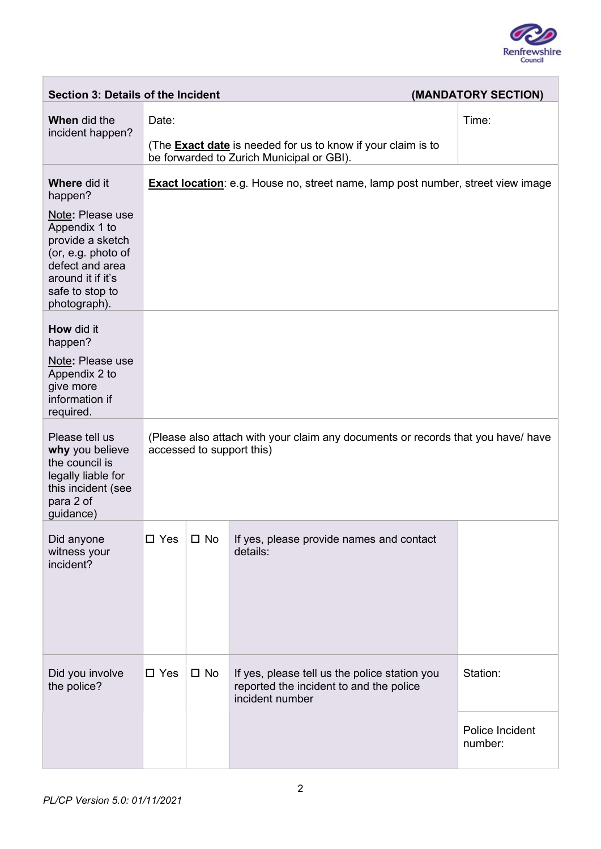

 $\overline{\phantom{0}}$ 

| <b>Section 3: Details of the Incident</b>                                                                                          |                                                                                                               |                                                                                                                  |                                                                                                             | (MANDATORY SECTION)        |  |
|------------------------------------------------------------------------------------------------------------------------------------|---------------------------------------------------------------------------------------------------------------|------------------------------------------------------------------------------------------------------------------|-------------------------------------------------------------------------------------------------------------|----------------------------|--|
| <b>When</b> did the<br>incident happen?                                                                                            | Date:                                                                                                         |                                                                                                                  |                                                                                                             | Time:                      |  |
|                                                                                                                                    |                                                                                                               | (The <b>Exact date</b> is needed for us to know if your claim is to<br>be forwarded to Zurich Municipal or GBI). |                                                                                                             |                            |  |
| <b>Where did it</b><br>happen?<br>Note: Please use                                                                                 |                                                                                                               |                                                                                                                  | <b>Exact location:</b> e.g. House no, street name, lamp post number, street view image                      |                            |  |
| Appendix 1 to<br>provide a sketch<br>(or, e.g. photo of<br>defect and area<br>around it if it's<br>safe to stop to<br>photograph). |                                                                                                               |                                                                                                                  |                                                                                                             |                            |  |
| <b>How</b> did it<br>happen?                                                                                                       |                                                                                                               |                                                                                                                  |                                                                                                             |                            |  |
| Note: Please use<br>Appendix 2 to<br>give more<br>information if<br>required.                                                      |                                                                                                               |                                                                                                                  |                                                                                                             |                            |  |
| Please tell us<br>why you believe<br>the council is<br>legally liable for<br>this incident (see<br>para 2 of<br>guidance)          | (Please also attach with your claim any documents or records that you have/ have<br>accessed to support this) |                                                                                                                  |                                                                                                             |                            |  |
| Did anyone<br>witness your<br>incident?                                                                                            | $\square$ Yes                                                                                                 | $\square$ No                                                                                                     | If yes, please provide names and contact<br>details:                                                        |                            |  |
| Did you involve<br>the police?                                                                                                     | $\square$ Yes                                                                                                 | $\square$ No                                                                                                     | If yes, please tell us the police station you<br>reported the incident to and the police<br>incident number | Station:                   |  |
|                                                                                                                                    |                                                                                                               |                                                                                                                  |                                                                                                             | Police Incident<br>number: |  |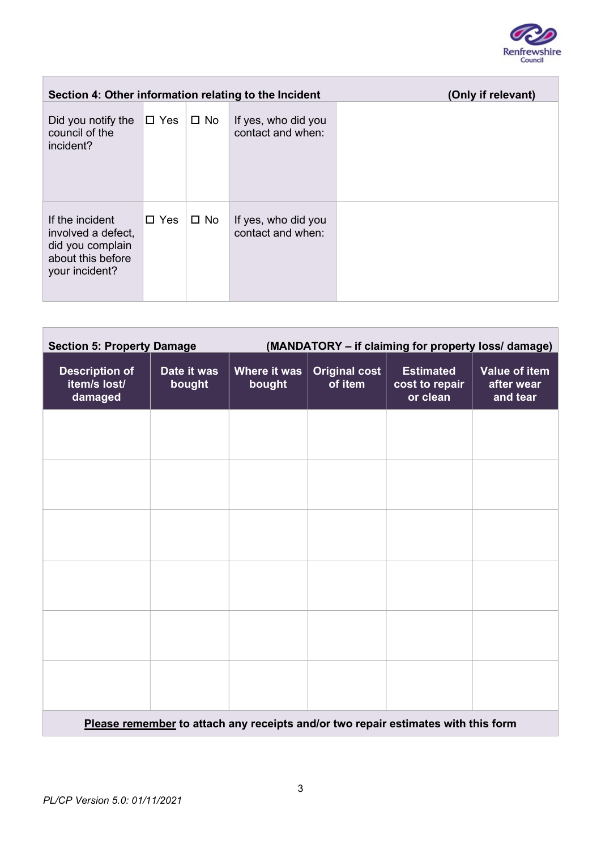

 $\overline{\phantom{0}}$ 

| Section 4: Other information relating to the Incident                                            |               |              |                                          | (Only if relevant) |
|--------------------------------------------------------------------------------------------------|---------------|--------------|------------------------------------------|--------------------|
| Did you notify the<br>council of the<br>incident?                                                | $\square$ Yes | $\square$ No | If yes, who did you<br>contact and when: |                    |
| If the incident<br>involved a defect,<br>did you complain<br>about this before<br>your incident? | $\Box$ Yes    | $\square$ No | If yes, who did you<br>contact and when: |                    |

| <b>Section 5: Property Damage</b>                                                 |                       | (MANDATORY - if claiming for property loss/ damage) |                                 |                                                |                                         |
|-----------------------------------------------------------------------------------|-----------------------|-----------------------------------------------------|---------------------------------|------------------------------------------------|-----------------------------------------|
| <b>Description of</b><br>item/s lost/<br>damaged                                  | Date it was<br>bought | <b>Where it was</b><br>bought                       | <b>Original cost</b><br>of item | <b>Estimated</b><br>cost to repair<br>or clean | Value of item<br>after wear<br>and tear |
|                                                                                   |                       |                                                     |                                 |                                                |                                         |
|                                                                                   |                       |                                                     |                                 |                                                |                                         |
|                                                                                   |                       |                                                     |                                 |                                                |                                         |
|                                                                                   |                       |                                                     |                                 |                                                |                                         |
|                                                                                   |                       |                                                     |                                 |                                                |                                         |
|                                                                                   |                       |                                                     |                                 |                                                |                                         |
| Please remember to attach any receipts and/or two repair estimates with this form |                       |                                                     |                                 |                                                |                                         |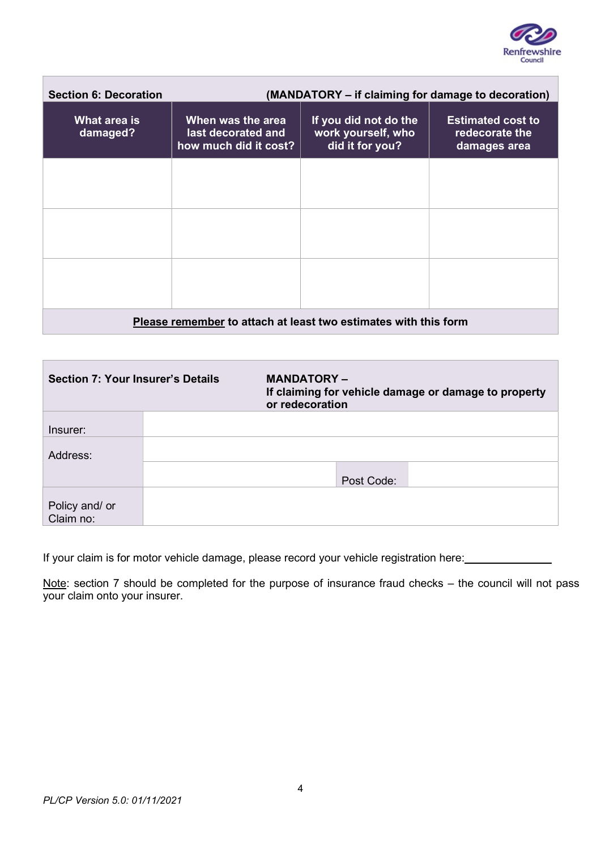

| <b>Section 6: Decoration</b>                                    | (MANDATORY – if claiming for damage to decoration)               |                                                                |                                                            |  |
|-----------------------------------------------------------------|------------------------------------------------------------------|----------------------------------------------------------------|------------------------------------------------------------|--|
| What area is<br>damaged?                                        | When was the area<br>last decorated and<br>how much did it cost? | If you did not do the<br>work yourself, who<br>did it for you? | <b>Estimated cost to</b><br>redecorate the<br>damages area |  |
|                                                                 |                                                                  |                                                                |                                                            |  |
|                                                                 |                                                                  |                                                                |                                                            |  |
|                                                                 |                                                                  |                                                                |                                                            |  |
| Please remember to attach at least two estimates with this form |                                                                  |                                                                |                                                            |  |

| <b>Section 7: Your Insurer's Details</b> |  | <b>MANDATORY –</b><br>If claiming for vehicle damage or damage to property<br>or redecoration |  |  |
|------------------------------------------|--|-----------------------------------------------------------------------------------------------|--|--|
|                                          |  |                                                                                               |  |  |
| Insurer:                                 |  |                                                                                               |  |  |
| Address:                                 |  |                                                                                               |  |  |
|                                          |  | Post Code:                                                                                    |  |  |
|                                          |  |                                                                                               |  |  |
| Policy and/ or                           |  |                                                                                               |  |  |
| Claim no:                                |  |                                                                                               |  |  |

If your claim is for motor vehicle damage, please record your vehicle registration here:

Note: section 7 should be completed for the purpose of insurance fraud checks – the council will not pass your claim onto your insurer.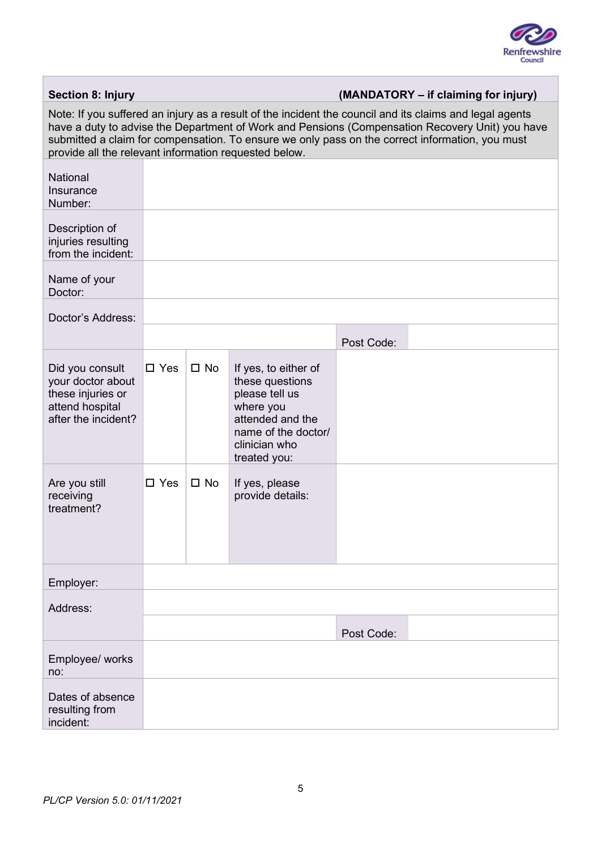

| <b>Section 8: Injury</b>                                                                                                                                                                                                                                                                                                                                               |               |              |                                                                                                                                                    |            | (MANDATORY – if claiming for injury) |
|------------------------------------------------------------------------------------------------------------------------------------------------------------------------------------------------------------------------------------------------------------------------------------------------------------------------------------------------------------------------|---------------|--------------|----------------------------------------------------------------------------------------------------------------------------------------------------|------------|--------------------------------------|
| Note: If you suffered an injury as a result of the incident the council and its claims and legal agents<br>have a duty to advise the Department of Work and Pensions (Compensation Recovery Unit) you have<br>submitted a claim for compensation. To ensure we only pass on the correct information, you must<br>provide all the relevant information requested below. |               |              |                                                                                                                                                    |            |                                      |
| <b>National</b><br>Insurance<br>Number:                                                                                                                                                                                                                                                                                                                                |               |              |                                                                                                                                                    |            |                                      |
| Description of<br>injuries resulting<br>from the incident:                                                                                                                                                                                                                                                                                                             |               |              |                                                                                                                                                    |            |                                      |
| Name of your<br>Doctor:                                                                                                                                                                                                                                                                                                                                                |               |              |                                                                                                                                                    |            |                                      |
| Doctor's Address:                                                                                                                                                                                                                                                                                                                                                      |               |              |                                                                                                                                                    |            |                                      |
|                                                                                                                                                                                                                                                                                                                                                                        |               |              |                                                                                                                                                    | Post Code: |                                      |
| Did you consult<br>your doctor about<br>these injuries or<br>attend hospital<br>after the incident?                                                                                                                                                                                                                                                                    | $\square$ Yes | $\square$ No | If yes, to either of<br>these questions<br>please tell us<br>where you<br>attended and the<br>name of the doctor/<br>clinician who<br>treated you: |            |                                      |
| Are you still<br>receiving<br>treatment?                                                                                                                                                                                                                                                                                                                               | $\square$ Yes | $\square$ No | If yes, please<br>provide details:                                                                                                                 |            |                                      |
| Employer:                                                                                                                                                                                                                                                                                                                                                              |               |              |                                                                                                                                                    |            |                                      |
| Address:                                                                                                                                                                                                                                                                                                                                                               |               |              |                                                                                                                                                    |            |                                      |
|                                                                                                                                                                                                                                                                                                                                                                        |               |              |                                                                                                                                                    | Post Code: |                                      |
| Employee/ works<br>no:                                                                                                                                                                                                                                                                                                                                                 |               |              |                                                                                                                                                    |            |                                      |
| Dates of absence<br>resulting from<br>incident:                                                                                                                                                                                                                                                                                                                        |               |              |                                                                                                                                                    |            |                                      |

 $\overline{\phantom{a}}$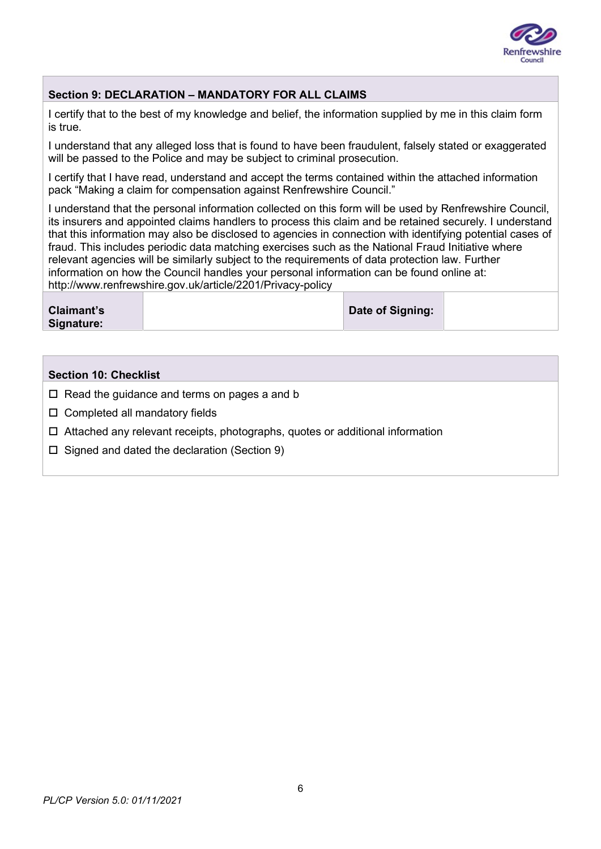

## Section 9: DECLARATION – MANDATORY FOR ALL CLAIMS

I certify that to the best of my knowledge and belief, the information supplied by me in this claim form is true.

I understand that any alleged loss that is found to have been fraudulent, falsely stated or exaggerated will be passed to the Police and may be subject to criminal prosecution.

I certify that I have read, understand and accept the terms contained within the attached information pack "Making a claim for compensation against Renfrewshire Council."

I understand that the personal information collected on this form will be used by Renfrewshire Council, its insurers and appointed claims handlers to process this claim and be retained securely. I understand that this information may also be disclosed to agencies in connection with identifying potential cases of fraud. This includes periodic data matching exercises such as the National Fraud Initiative where relevant agencies will be similarly subject to the requirements of data protection law. Further information on how the Council handles your personal information can be found online at: http://www.renfrewshire.gov.uk/article/2201/Privacy-policy

| <b>Claimant's</b> | Date of Signing: |  |
|-------------------|------------------|--|
| Signature:        |                  |  |
|                   |                  |  |

### Section 10: Checklist

- $\Box$  Read the guidance and terms on pages a and b
- $\square$  Completed all mandatory fields
- Attached any relevant receipts, photographs, quotes or additional information
- $\Box$  Signed and dated the declaration (Section 9)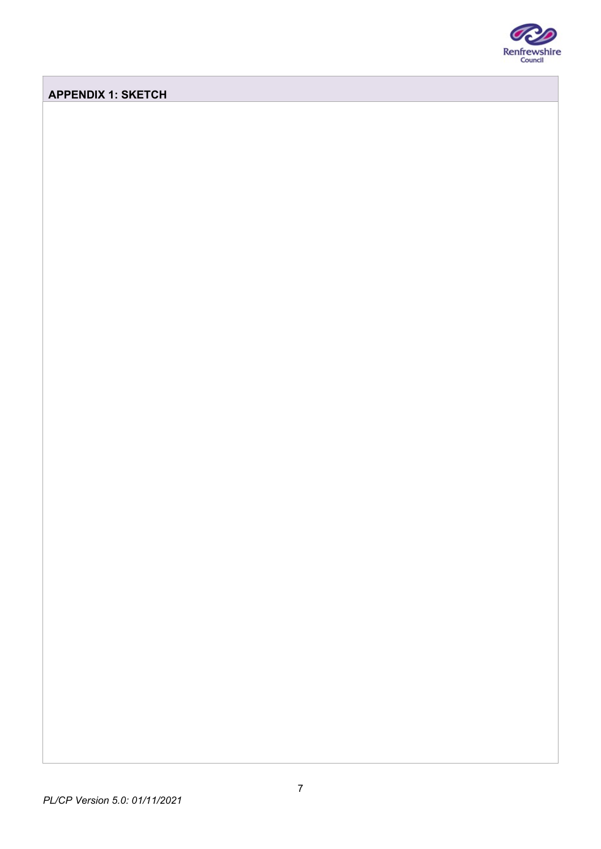

## APPENDIX 1: SKETCH